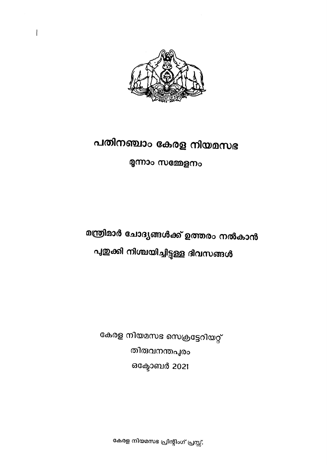

 $\mathbf{I}$ 

# പതിനഞ്ചാം കേരള നിയമസഭ

മൂന്നാം സമ്മേളനം

മന്ത്രിമാർ ചോദ്യങ്ങൾക്ക് ഉത്തരം നൽകാൻ പുതുക്കി നിശ്ചയിച്ചിട്ടുള്ള ദിവസങ്ങൾ

കേരള നിയമസഭ സെക്രട്ടേറിയറ്റ് തിരുവനന്തപുരം ഒക്ടോബർ 2021

കേരള നിയമസഭ പ്രിന്റിംഗ് പ്രസ്സ്.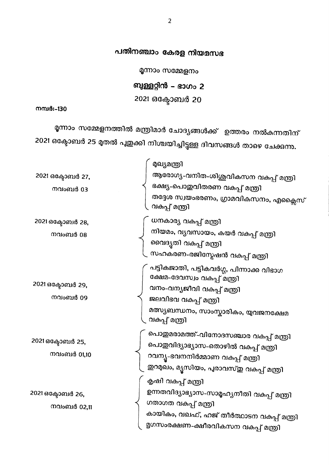മൂന്നാം സമ്മേളനം

ബുള്ളറ്റിൻ – ഭാഗം 2

2021 ഒക്ടോബർ 20

നമ്പർ:-130

മൃന്നാം സമ്മേളനത്തിൽ മന്ത്രിമാർ ചോദ്യങ്ങൾക്ക് ഉത്തരം നൽകുന്നതിന് 2021 ഒക്ടോബർ 25 മുതൽ പുഇക്കി നിശ്ചയിച്ചിട്ടുള്ള ദിവസങ്ങൾ താഴെ ചേക്കുന്നു.

| 2021 ഒക്ടോബർ 27,<br>നവംബർ 03    | മുഖ്യമന്ത്രി<br>ആരോഗ്യ-വനിത-ശിശുവികസന വകപ്പ് മന്ത്രി<br>ഭക്ഷ്യ-പൊഇവിതരണ വകപ്പ് മന്ത്രി<br>തദ്ദേശ സ്വയംഭരണം, ഗ്രാമവികസനം, എക്ലൈസ്<br>വകപ്പ് മന്ത്രി                                     |
|---------------------------------|----------------------------------------------------------------------------------------------------------------------------------------------------------------------------------------|
| 2021 ഒക്ടോബർ 28,<br>നവംബർ 08    | ധനകാര്യ വകപ്പ് മന്ത്രി<br>നിയമം, വൃവസായം, കയർ വകപ്പ് മന്ത്രി<br>വൈദൃതി വകപ്പ് മന്ത്രി<br>സഹകരണ-രജിസ്റ്റേഷൻ വകുപ്പ് മന്ത്രി                                                             |
| 2021 ഒക്ടോബർ 29,<br>നവംബർ 09    | പട്ടികജാതി, പട്ടികവർഗ്ഗ, പിന്നാക്ക വിഭാഗ<br>ക്ഷേമ-ദേവസ്വം വകപ്പ് മത്രി<br>വനം-വന്യജീവി വകപ്പ് മത്രി<br>ജലവിഭവ വകുപ്പ് മത്രി<br>മത്സ്യബന്ധനം, സാംസ്കാരികം, യുവജനക്ഷേമ<br>വകപ്പ് മന്ത്രി |
| 2021 ഒക്ടോബർ 25,<br>നവംബർ 01,10 | പൊഇമരാമത്ത്-വിനോദസഞ്ചാര വകപ്പ് മന്ത്രി<br>പൊഇവിദ്യാഭ്യാസ-തൊഴിൽ വകുപ്പ് മന്ത്രി<br>റവന്യൂ-ഭവനനിർമ്മാണ വകുപ്പ് മന്ത്രി<br>ഇറമുഖം, മ്യൂസിയം, പുരാവസ്തു വകുപ്പ് മന്ത്രി                    |
| 2021 ഒക്ടോബർ 26,<br>നവംബർ 02,11 | കൃഷി വകപ്പ് മത്രി<br>ഉന്നതവിദ്യാഭ്യാസ-സാമൃഹ്യനീതി വകപ്പ് മന്ത്രി<br>ഗതാഗത വകപ്പ് മന്ത്രി<br>കായികം, വഖഫ്, ഹജ് തീർത്ഥാടന വകുപ്പ് മത്രി<br>മൃഗസംരക്ഷണ-ക്ഷീരവികസന വകപ്പ് മന്ത്രി          |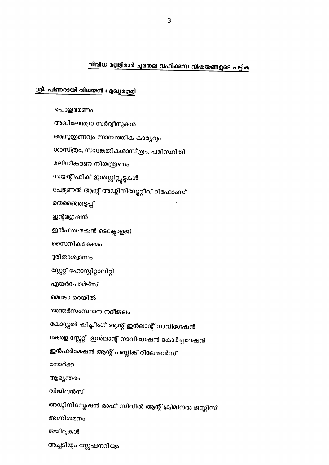വിവിധ മന്ത്രിമാർ ചുമതല വഹിക്കുന്ന വിഷയങ്ങളുടെ പട്ടിക

#### 3

#### ശ്രീ. പിണറായി വിജയൻ : മുഖ്യമന്ത്രി

പൊതുഭരണം അഖിലേന്ത്യാ സർവ്വീസുകൾ ആസൂത്രണവും സാമ്പത്തിക കാര്യവും ശാസ്ത്രം, സാങ്കേതികശാസ്ത്രം, പരിസ്ഥിതി മലിനീകരണ നിയന്ത്രണം സയന്റിഫിക് ഇൻസ്റ്റിറ്റ്യൂട്ടുകൾ പേഴ്സണൽ ആന്റ് അഡ്മിനിസ്ലേറ്റീവ് റിഫോംസ് തെരഞ്ഞെടുപ്പ് ഇന്റഗ്രേഷൻ ഇൻഫർമേഷൻ ടെക്സോളജി സൈനികക്ഷേമം ദുരിതാശ്വാസം സ്റ്റേറ്റ് ഹോസ്പിറ്റാലിറ്റി എയർപോർട്സ് മെട്രോ റെയിൽ അന്തർസംസ്ഥാന നദീജലം കോസ്റ്റൽ ഷിപ്പിംഗ് ആന്റ് ഇൻലാന്റ് നാവിഗേഷൻ കേരള സ്റ്റേറ്റ് ഇൻലാന്റ് നാവിഗേഷൻ കോർപ്പറേഷൻ ഇൻഫർമേഷൻ ആന്റ് പബ്ലിക് റിലേഷൻസ് നോർക്ക ആഭ്യന്തരം വിജിലൻസ് അഡ്മിനിസ്ലേഷൻ ഓഫ് സിവിൽ ആന്റ് ക്രിമിനൽ ജസ്റ്റിസ് അഗ്നിശമനം ജയിലുകൾ അച്ചടിയും സ്റ്റേഷനറിയും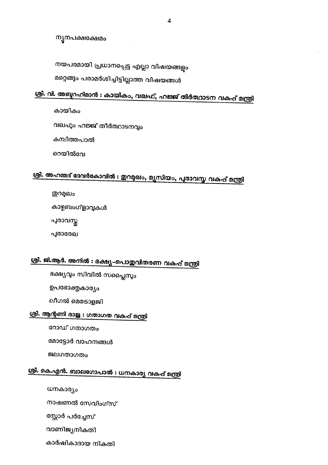ന്യൂനപക്ഷക്ഷേമം

നയപരമായി പ്രധാനപ്പെട്ട എല്ലാ വിഷയങ്ങളും

മറ്റെങ്ങും പരാമർശിച്ചിട്ടില്ലാത്ത വിഷയങ്ങൾ

## ശ്രീ. വി. അബ്ദറഹിമാൻ : കായികം, വഖഫ്, ഹജ്ജ് തീർത്ഥാടന വകുപ്പ് മന്ത്രി

കായികം

വഖഹും ഹജ്ജ് തീർത്ഥാടനവ്വം

കമ്പിത്തപാൽ

റെയിൽവേ

## ശ്രി. അഹമ്മദ് ദേവർകോവിൽ : ഇറമുഖം, മ്യൂസിയം, പുരാവസ്ത വകപ്പ് മന്ത്രി

**@**റമുഖം

കാഴ്ചബംഗ്ളാവുകൾ

പുരാവസ്ത

പൂരാരേഖ

## ശ്രീ. ജി.ആർ. അനിൽ : ഭക്ഷ്യ-പൊതുവിതരണ വകുപ്പ് മന്ത്രി

ഭക്ഷ്യവും സിവിൽ സപ്ലൈസും

ഉപഭോക്തൃകാര്യം

ലീഗൽ മെട്രോളജി

### <u>ശ്രീ. ആന്റണി രാജ : ഗതാഗത വകപ്പ് മന്ത്രി</u>

റോഡ് ഗതാഗതം

മോട്ടോർ വാഹനങ്ങൾ

ജലഗതാഗതം

### <u>ശ്രീ. കെ.എൻ. ബാലഗോപാൽ : ധനകാര്യ വകപ്പ് മന്ത്രി</u>

ധനകാര്യം

നാഷണൽ സേവിംഗ്സ്

സ്റ്റോർ പർച്ചേസ്

വാണിജ്യനികതി

കാർഷികാദായ നികതി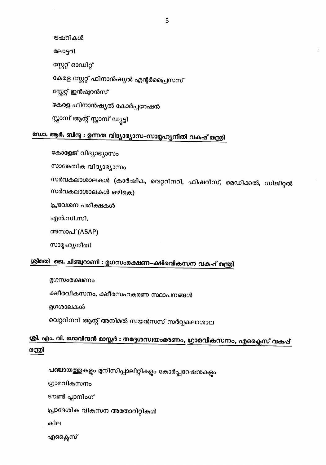ട്രഷറികൾ ലോട്ടറി സ്റ്റേറ്റ് ഓഡിറ്റ് കേരള സ്റ്റേറ്റ് ഫിനാൻഷ്യൽ എന്റർപ്രൈസസ് സ്റ്റേറ്റ് ഇൻഷ്യറൻസ് കേരള ഫിനാൻഷ്യൽ കോർപ്പറേഷൻ സ്റ്റാമ്പ് ആന്റ് സ്റ്റാമ്പ് ഡ്യട്ടി

## ഡോ. ആർ. ബിന്ദു : ഉന്നത വിദ്യാഭ്യാസ–സാമൃഹ്യനിതി വകപ്പ് മന്ത്രി

കോളേജ് വിദ്യാഭ്യാസം

സാങ്കേതിക വിദ്യാഭ്യാസം

സർവകലാശാലകൾ (കാർഷിക, വെറ്ററിനറി, ഫിഷറീസ്, മെഡിക്കൽ, ഡിജിറ്റൽ സർവകലാശാലകൾ ഒഴികെ)

പ്രവേശന പരീക്ഷകൾ

എൻ.സി.സി.

അസാപ് (ASAP)

സാമൃഹ്യനീതി

### ശ്രീമതി ജെ. ചിഞ്ചറാണി : മൃഗസംരക്ഷണ–ക്ഷീരവികസന വകുപ്പ് മന്ത്രി

മൃഗസംരക്ഷണം

ക്ഷീരവികസനം, ക്ഷീരസഹകരണ സ്ഥാപനങ്ങൾ

മൃഗശാലകൾ

വെറ്ററിനറി ആന്റ് അനിമൽ സയൻസസ് സർവ്വകലാശാല

#### <u>ശ്രീ. എം. വി. ഗോവിന്ദൻ മാസ്റ്റർ : തദ്ദേശസ്വയംഭരണം, ഗ്രാമവികസനം, എക്ലൈസ് വകപ്പ്</u> മന്ത്രി

പഞ്ചായത്തുകളും മുനിസിപ്പാലിറ്റികളും കോർപ്പറേഷനുകളും

ഗ്രാമവികസനം

ടൗൺ പ്ലാനിംഗ്

പ്രാദേശിക വികസന അതോറിറ്റികൾ

കില

എക്സൈ്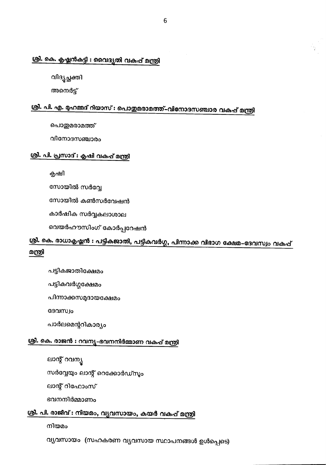#### ശ്രി. കെ. കൃഷ്ണൻകട്ടി : വൈദ്യതി വകപ്പ് മന്ത്രി

വിദ്യച്ഛക്തി

അനെർട്ട്

### ശ്രീ. പി. എ. മൃഹമ്മദ് റിയാസ് : പൊതുമരാമത്ത്–വിനോദസഞ്ചാര വകുപ്പ് മന്ത്രി

പൊതുമരാമത്ത്

വിനോദസഞ്ചാരം

#### ശ്രീ. പി. പ്രസാദ് : കൃഷി വകപ്പ് മന്ത്രി

കൃഷി

സോയിൽ സർവ്വേ

സോയിൽ കൺസർവേഷൻ

കാർഷിക സർവ്വകലാശാല

വെയർഹൗസിംഗ് കോർപ്പറേഷൻ

#### <u>ശ്രീ. കെ. രാധാകൃഷ്ണൻ : പട്ടികജാതി, പട്ടികവർഗ്ഗ, പിന്നാക്ക വിഭാഗ ക്ഷേമ–ദേവസ്വം വകപ്പ്</u> മന്ത്രി

പട്ടികജാതിക്ഷേമം

പട്ടികവർഗ്ഗക്ഷേമം

പിന്നാക്കസമുദായക്ഷേമം

ദേവസ്വം

പാർലമെന്ററികാര്യം

#### ശ്രീ. കെ. രാജൻ : റവന്യ-ഭവനനിർമ്മാണ വകപ്പ് മന്ത്രി

ലാന്റ് റവന്യൂ

സർവ്വേയും ലാന്റ് റെക്കോർഡ്സും

ലാന്റ് റിഫോംസ്

ഭവനനിർമ്മാണം

#### ശ്രി. പി. രാജീവ് : നിയമം, വ്യവസായം, കയർ വകുപ് മന്ത്രി

നിയമം

വ്യവസായം (സഹകരണ വ്യവസായ സ്ഥാപനങ്ങൾ ഉൾപ്പെടെ)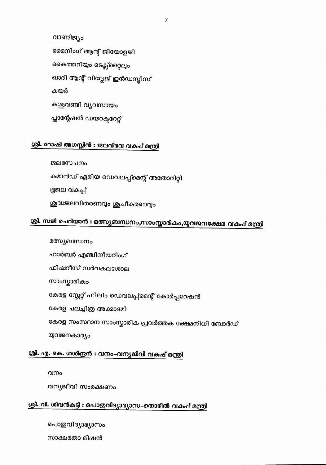പൊഇവിദ്യാഭ്യാസം

സാക്ഷരതാ മിഷൻ

വന്യജീവി സംരക്ഷണം

വനം

# ശ്രീ. എ. കെ. ശശീന്ദ്രൻ : വനം-വന്യജീവി വകുപ്പ് മന്ത്രി

ശ്രീ. വി. ശിവൻകട്ടി : പൊതുവിദ്യാഭ്യാസ–തൊഴിൽ വകുപ്പ് മന്ത്രി

യുവജനകാര്യം

കേരള സംസ്ഥാന സാംസ്കാരിക പ്രവർത്തക ക്ഷേമനിധി ബോർഡ്

<u>ശ്രീ. സജി ചെറിയാൻ : മത്സ്യബന്ധനം,സാംസ്കാരികം,യുവജനക്ഷേമ വകുപ്പ് മന്ത്രി</u>

കേരള ചലച്ചിത്ര അക്കാദമി

കേരള സ്റ്റേറ്റ് ഫിലിം ഡെവലപ്പ്മെന്റ് കോർപ്പറേഷൻ

സാംസ്കാരികം

ഫിഷറീസ് സർവകലാശാല

ഹാർബർ എഞ്ചിനീയറിംഗ്

കമാൻഡ് ഏരിയ ഡെവലപ്പ്മെന്റ് അതോറിറ്റി

ശുദ്ധജലവിതരണവും ശുചീകരണവും

ജലസേചനം

ഭൂജല വകപ്പ്

മത്സ്യബന്ധനം

ശ്രീ. റോഷി അഗസ്റ്റിൻ : ജലവിഭവ വകുപ്പ് മന്ത്രി

കയർ കശുവണ്ടി വ്യവസായം

പ്ലാന്റേഷൻ ഡയറക്ടറേറ്റ്

ഖാദി ആന്റ് വില്ലേജ് ഇൻഡസ്ലീസ്

കൈത്തറിയും ടെക്സ്റ്റൈലും

മൈനിംഗ് ആന്റ് ജിയോളജി

വാണിജ്യം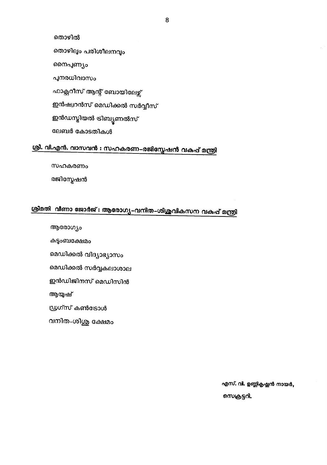$\boldsymbol{8}$ 

തൊഴിൽ തൊഴിലും പരിശീലനവും നൈപ്പണ്യം പുനരധിവാസം ഫാക്സറീസ് ആന്റ് ബോയിലേഴ്സ് ഇൻഷ്വറൻസ് മെഡിക്കൽ സർവ്വീസ് ഇൻഡസ്ലിയൽ ടിബ്യൂണൽസ് ലേബർ കോടതികൾ

### <u>ശ്രീ. വി.എൻ. വാസവൻ : സഹകരണ–രജിസ്ലേഷൻ വകപ്പ് മന്ത്രി</u>

സഹകരണം

രജിസ്നേഷൻ

## ശ്രീമതി വീണാ ജോർജ് : ആരോഗ്യ-വനിത-ശിശുവികസന വകുപ്പ് മന്ത്രി

ആരോഗ്യം

കുട്ടംബക്ഷേമം

മെഡിക്കൽ വിദ്യാഭ്യാസം

മെഡിക്കൽ സർവ്വകലാശാല

ഇൻഡിജിനസ് മെഡിസിൻ

ആയുഷ്

ഡ്രഗ്സ് കൺട്രോൾ

വനിത-ശിശു ക്ഷേമം

എസ്. വി. ഉണ്ണികൃഷ്ണൻ നായർ,

സെക്രട്ടറി.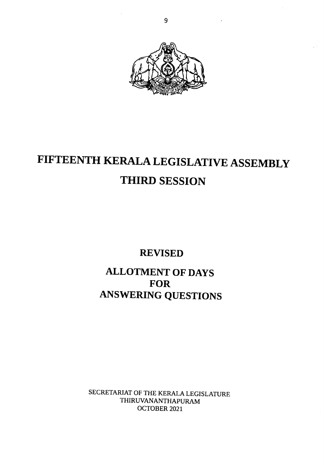

# FIFTEENTH KERALA LEGISLATIVE ASSEMBLY THIRD SESSION

REVISED

ALLOTMENT OF DAYS FOR ANSWERING QUESTIONS

SECRETARIAT OF THE KERALA LEGISLATURE THIRUVANANTHAPURAM OCTOBER 2021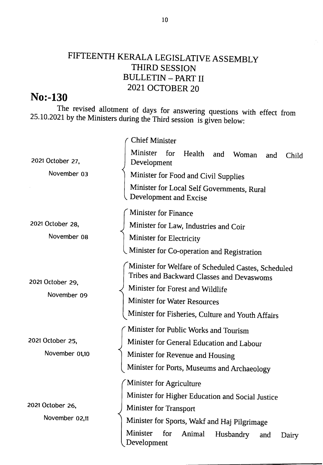### FIFTEENTH KERALA LEGISLATIVE ASSEMBLY THIRD SESSION BULLETIN \_ PART II 2021. OCTOBER 20

### No:-L30

The revised allotment of days for answering questions with effect from 25.10.2021 by the Ministers during the Third session is given below:

|                                 | <b>Chief Minister</b>                                                                            |
|---------------------------------|--------------------------------------------------------------------------------------------------|
| 2021 October 27,                | Minister<br>for<br>Health<br>and<br>Woman<br>and<br>Child<br>Development                         |
| November 03                     | Minister for Food and Civil Supplies                                                             |
|                                 | Minister for Local Self Governments, Rural<br>Development and Excise                             |
|                                 | <b>Minister for Finance</b>                                                                      |
| 2021 October 28,                | Minister for Law, Industries and Coir                                                            |
| November 08                     | Minister for Electricity                                                                         |
|                                 | Minister for Co-operation and Registration                                                       |
| 2021 October 29,<br>November 09 | Minister for Welfare of Scheduled Castes, Scheduled<br>Tribes and Backward Classes and Devaswoms |
|                                 | Minister for Forest and Wildlife                                                                 |
|                                 | <b>Minister for Water Resources</b>                                                              |
|                                 | Minister for Fisheries, Culture and Youth Affairs                                                |
|                                 | Minister for Public Works and Tourism                                                            |
| 2021 October 25,                | Minister for General Education and Labour                                                        |
| November 01,10                  | Minister for Revenue and Housing                                                                 |
|                                 | Minister for Ports, Museums and Archaeology                                                      |
|                                 | / Minister for Agriculture                                                                       |
|                                 | Minister for Higher Education and Social Justice                                                 |
| 2021 October 26,                | Minister for Transport                                                                           |
| November 02,11                  | Minister for Sports, Wakf and Haj Pilgrimage                                                     |
|                                 | <b>Minister</b><br>for<br>Animal<br>Husbandry<br>and<br>Dairy<br>Development                     |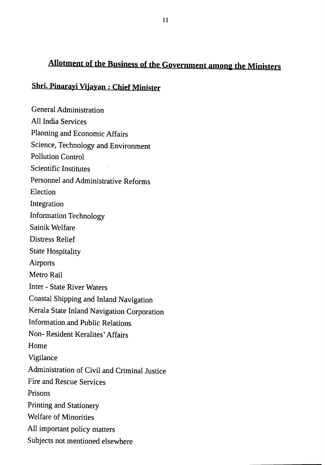## Allotment of the Business of the Government among the Ministers

#### Shri. Pinaravi Viiavan : Chief Minister

General Administration All India Services Planning and Economic Affairs Science, Technology and Environment Pollution Control Scientific Institutes Personnel and Administrative Reforms Election Integration Information Technology Sainik Welfare Distress Relief State Hospitality Airports Metro Rail Inter - State River Waters Coastal Shipping and Inland Navigation Kerala State Inland Navigation Corporation Information and Public Relations Non- Resident Keralites' Affairs Home Vigilance Administration of Civil and Criminal Justice Fire and Rescue Services Prisons Printing and Stationery Welfare of Minorities All important policy matters Subjects not mentioned elsewhere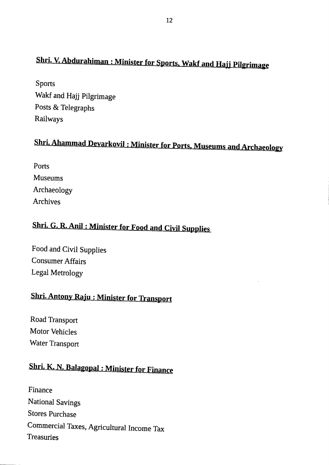## Shri. V. Abdurahiman: Minister for Sports, Wakf and Hajj Pilgrimage

Sports Wakf and Hajj pilgrimage Posts & Telegraphs Railways

# Shri. Ahammad Devarkovil: Minister for Ports, Museums and Archaeology

| Ports          |
|----------------|
| <b>Museums</b> |
| Archaeology    |
| Archives       |

## Shri. G. R. Anil: Minister for Food and Civil Supplies

Food and Civil Supplies Consumer Affairs Legal Metrology

## **Shri. Antony Raju: Minister for Transport**

Road Transport Motor Vehicles Water Transport

## Shri. K. N. Balagopal : Minister for Finance

Finance National Savings Stores Purchase Commercial Taxes, Agricultural Income Tax Treasuries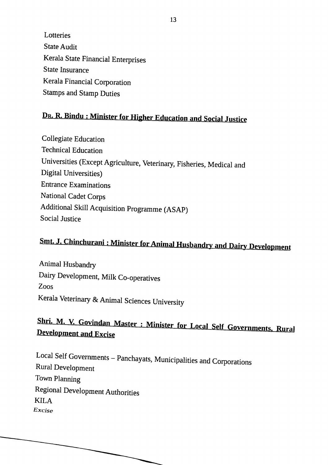Lotteries State Audit Kerala State Financial Enterprises State Insurance Kerala Financial Corporation Stamps and Stamp Duties

## Dr. R. Bindu: Minister for Higher Education and Social Justice

Collegiate Education Technical Education Universities (Except Agriculture, Veterinary, Fisheries, Medical and Digital Universities) Entrance Examinations National Cadet Corps Additional Skill Acquisition programme (ASAP) Social Justice

# Smt. J. Chinchurani: Minister for Animal Husbandry and Dairy Development

Animal Husbandry Dairy Development, Milk Co-operatives Zoos Kerala Veterinary & Animal Sciences University

## Shri. M. V. Govindan Master : Minister for Local Self Governments, Rural **Development and Excise**

Local Self Governments – Panchayats, Municipalities and Corporations Rural Development Town Planning Regional Development Authorities KILA Excise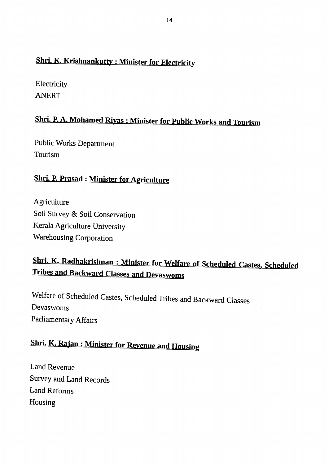## Shri. K. Krishnankutty: Minister for Electricity

**Electricity** ANERT

### Shri. P. A. Mohamed Riyas : Minister for Public Works and Tourism

Public Works Department Tourism

#### **Shri. P. Prasad: Minister for Agriculture**

**Agriculture** Soil Survey & Soil Conservation Kerala Agriculture University Warehousing Corporation

## Shri. K. Radhakrishnan : Minister for Welfare of Scheduled Castes, Scheduled **Tribes and Backward Classes and Devaswoms**

welfare of scheduled castes, scheduled Tribes and Backward classes Devaswoms Parliamentary Affairs

## **Shri. K. Rajan: Minister for Revenue and Housing**

Land Revenue Survey and Land Records Land Reforms Housing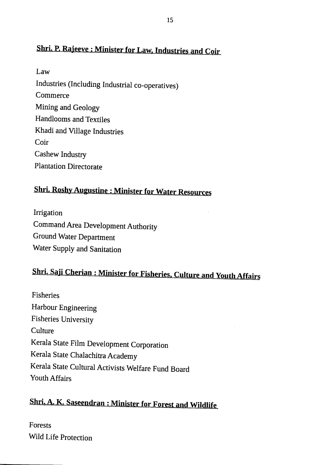### Shri. P. Rajeeve: Minister for Law, Industries and Coir

Law Industries (Including Industrial co-operatives) **Commerce** Mining and Geology Handlooms and Textiles Khadi and Village Industries Coir Cashew Industry Plantation Directorate

### **Shri. Roshy Augustine: Minister for Water Resources**

Irrigation Command Area Development Authority Ground Water Department Water Supply and Sanitation

## Shri. Saji Cherian: Minister for Fisheries, Culture and Youth Affairs

Fisheries Harbour Engineering Fisheries University **Culture** Kerala State Film Development Corporation Kerala State Chalachitra Academy Kerala state cultural Activists welfare Fund Board Youth Affairs

## Shri. A. K. Saseendran: Minister for Forest and Wildlife

Forests Wild Life protection